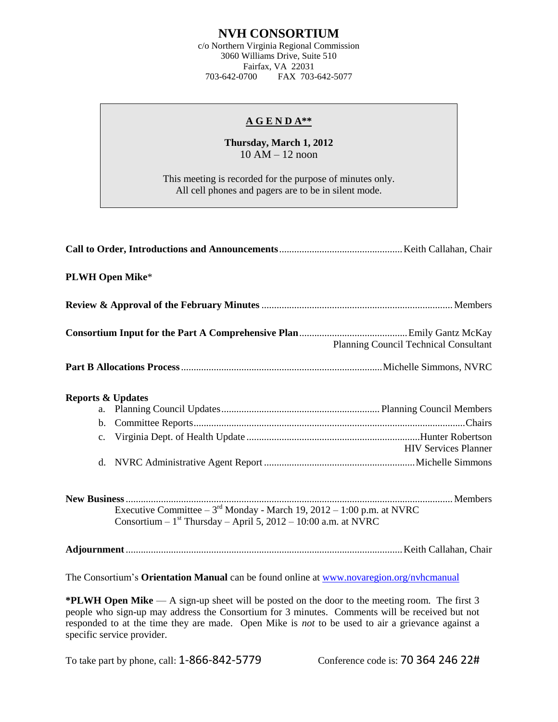## **NVH CONSORTIUM**

c/o Northern Virginia Regional Commission 3060 Williams Drive, Suite 510 Fairfax, VA 22031<br>703-642-0700 FAX 703-FAX 703-642-5077

## **A G E N D A\*\***

## **Thursday, March 1, 2012**  $10$  AM  $-$  12 noon

This meeting is recorded for the purpose of minutes only. All cell phones and pagers are to be in silent mode.

|                                                                                          | <b>PLWH Open Mike*</b>                                                                                                                                |                                       |  |  |
|------------------------------------------------------------------------------------------|-------------------------------------------------------------------------------------------------------------------------------------------------------|---------------------------------------|--|--|
|                                                                                          |                                                                                                                                                       |                                       |  |  |
|                                                                                          |                                                                                                                                                       | Planning Council Technical Consultant |  |  |
|                                                                                          |                                                                                                                                                       |                                       |  |  |
| <b>Reports &amp; Updates</b><br>a.<br>b.<br>$\mathbf{c}$ .                               |                                                                                                                                                       | <b>HIV Services Planner</b>           |  |  |
|                                                                                          | Executive Committee – $3^{\text{rd}}$ Monday - March 19, 2012 – 1:00 p.m. at NVRC<br>Consortium - $1st$ Thursday - April 5, 2012 - 10:00 a.m. at NVRC |                                       |  |  |
|                                                                                          |                                                                                                                                                       |                                       |  |  |
| The Consortium's Orientation Manual can be found online at www.novaregion.org/nvhcmanual |                                                                                                                                                       |                                       |  |  |

**\*PLWH Open Mike** — A sign-up sheet will be posted on the door to the meeting room. The first 3 people who sign-up may address the Consortium for 3 minutes. Comments will be received but not responded to at the time they are made. Open Mike is *not* to be used to air a grievance against a specific service provider.

To take part by phone, call: 1-866-842-5779 Conference code is: 70 364 246 22#